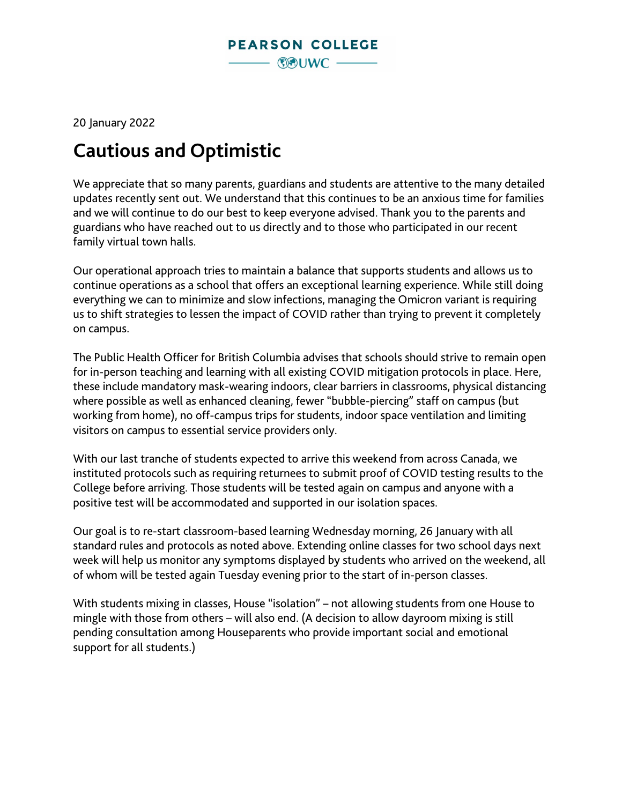20 January 2022

## **Cautious and Optimistic**

We appreciate that so many parents, guardians and students are attentive to the many detailed updates recently sent out. We understand that this continues to be an anxious time for families and we will continue to do our best to keep everyone advised. Thank you to the parents and guardians who have reached out to us directly and to those who participated in our recent family virtual town halls.

Our operational approach tries to maintain a balance that supports students and allows us to continue operations as a school that offers an exceptional learning experience. While still doing everything we can to minimize and slow infections, managing the Omicron variant is requiring us to shift strategies to lessen the impact of COVID rather than trying to prevent it completely on campus.

The Public Health Officer for British Columbia advises that schools should strive to remain open for in-person teaching and learning with all existing COVID mitigation protocols in place. Here, these include mandatory mask-wearing indoors, clear barriers in classrooms, physical distancing where possible as well as enhanced cleaning, fewer "bubble-piercing" staff on campus (but working from home), no off-campus trips for students, indoor space ventilation and limiting visitors on campus to essential service providers only.

With our last tranche of students expected to arrive this weekend from across Canada, we instituted protocols such as requiring returnees to submit proof of COVID testing results to the College before arriving. Those students will be tested again on campus and anyone with a positive test will be accommodated and supported in our isolation spaces.

Our goal is to re-start classroom-based learning Wednesday morning, 26 January with all standard rules and protocols as noted above. Extending online classes for two school days next week will help us monitor any symptoms displayed by students who arrived on the weekend, all of whom will be tested again Tuesday evening prior to the start of in-person classes.

With students mixing in classes, House "isolation" – not allowing students from one House to mingle with those from others – will also end. (A decision to allow dayroom mixing is still pending consultation among Houseparents who provide important social and emotional support for all students.)